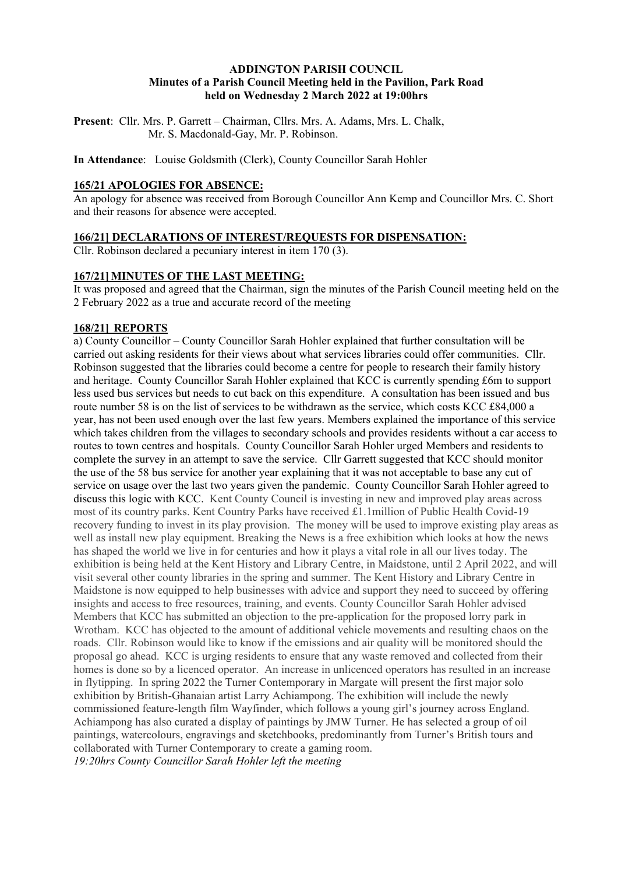#### **ADDINGTON PARISH COUNCIL Minutes of a Parish Council Meeting held in the Pavilion, Park Road held on Wednesday 2 March 2022 at 19:00hrs**

**Present**: Cllr. Mrs. P. Garrett – Chairman, Cllrs. Mrs. A. Adams, Mrs. L. Chalk, Mr. S. Macdonald-Gay, Mr. P. Robinson.

**In Attendance**: Louise Goldsmith (Clerk), County Councillor Sarah Hohler

# **165/21 APOLOGIES FOR ABSENCE:**

An apology for absence was received from Borough Councillor Ann Kemp and Councillor Mrs. C. Short and their reasons for absence were accepted.

### **166/21] DECLARATIONS OF INTEREST/REQUESTS FOR DISPENSATION:**

Cllr. Robinson declared a pecuniary interest in item 170 (3).

#### **167/21] MINUTES OF THE LAST MEETING:**

It was proposed and agreed that the Chairman, sign the minutes of the Parish Council meeting held on the 2 February 2022 as a true and accurate record of the meeting

### **168/21] REPORTS**

a) County Councillor – County Councillor Sarah Hohler explained that further consultation will be carried out asking residents for their views about what services libraries could offer communities. Cllr. Robinson suggested that the libraries could become a centre for people to research their family history and heritage. County Councillor Sarah Hohler explained that KCC is currently spending £6m to support less used bus services but needs to cut back on this expenditure. A consultation has been issued and bus route number 58 is on the list of services to be withdrawn as the service, which costs KCC £84,000 a year, has not been used enough over the last few years. Members explained the importance of this service which takes children from the villages to secondary schools and provides residents without a car access to routes to town centres and hospitals. County Councillor Sarah Hohler urged Members and residents to complete the survey in an attempt to save the service. Cllr Garrett suggested that KCC should monitor the use of the 58 bus service for another year explaining that it was not acceptable to base any cut of service on usage over the last two years given the pandemic. County Councillor Sarah Hohler agreed to discuss this logic with KCC. Kent County Council is investing in new and improved play areas across most of its country parks. Kent Country Parks have received £1.1million of Public Health Covid-19 recovery funding to invest in its play provision. The money will be used to improve existing play areas as well as install new play equipment. Breaking the News is a free exhibition which looks at how the news has shaped the world we live in for centuries and how it plays a vital role in all our lives today. The exhibition is being held at the Kent History and Library Centre, in Maidstone, until 2 April 2022, and will visit several other county libraries in the spring and summer. The Kent History and Library Centre in Maidstone is now equipped to help businesses with advice and support they need to succeed by offering insights and access to free resources, training, and events. County Councillor Sarah Hohler advised Members that KCC has submitted an objection to the pre-application for the proposed lorry park in Wrotham. KCC has objected to the amount of additional vehicle movements and resulting chaos on the roads. Cllr. Robinson would like to know if the emissions and air quality will be monitored should the proposal go ahead. KCC is urging residents to ensure that any waste removed and collected from their homes is done so by a licenced operator. An increase in unlicenced operators has resulted in an increase in flytipping. In spring 2022 the Turner Contemporary in Margate will present the first major solo exhibition by British-Ghanaian artist Larry Achiampong. The exhibition will include the newly commissioned feature-length film Wayfinder, which follows a young girl's journey across England. Achiampong has also curated a display of paintings by JMW Turner. He has selected a group of oil paintings, watercolours, engravings and sketchbooks, predominantly from Turner's British tours and collaborated with Turner Contemporary to create a gaming room.

*19:20hrs County Councillor Sarah Hohler left the meeting*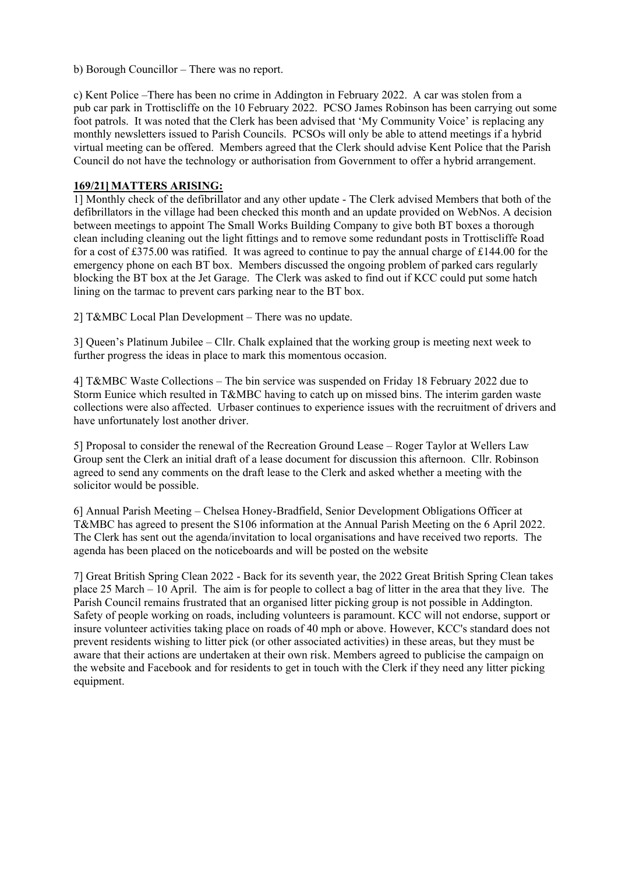b) Borough Councillor – There was no report.

c) Kent Police –There has been no crime in Addington in February 2022. A car was stolen from a pub car park in Trottiscliffe on the 10 February 2022. PCSO James Robinson has been carrying out some foot patrols. It was noted that the Clerk has been advised that 'My Community Voice' is replacing any monthly newsletters issued to Parish Councils. PCSOs will only be able to attend meetings if a hybrid virtual meeting can be offered. Members agreed that the Clerk should advise Kent Police that the Parish Council do not have the technology or authorisation from Government to offer a hybrid arrangement.

#### **169/21] MATTERS ARISING:**

1] Monthly check of the defibrillator and any other update - The Clerk advised Members that both of the defibrillators in the village had been checked this month and an update provided on WebNos. A decision between meetings to appoint The Small Works Building Company to give both BT boxes a thorough clean including cleaning out the light fittings and to remove some redundant posts in Trottiscliffe Road for a cost of £375.00 was ratified. It was agreed to continue to pay the annual charge of £144.00 for the emergency phone on each BT box. Members discussed the ongoing problem of parked cars regularly blocking the BT box at the Jet Garage. The Clerk was asked to find out if KCC could put some hatch lining on the tarmac to prevent cars parking near to the BT box.

2] T&MBC Local Plan Development – There was no update.

3] Queen's Platinum Jubilee – Cllr. Chalk explained that the working group is meeting next week to further progress the ideas in place to mark this momentous occasion.

4] T&MBC Waste Collections – The bin service was suspended on Friday 18 February 2022 due to Storm Eunice which resulted in T&MBC having to catch up on missed bins. The interim garden waste collections were also affected. Urbaser continues to experience issues with the recruitment of drivers and have unfortunately lost another driver.

5] Proposal to consider the renewal of the Recreation Ground Lease – Roger Taylor at Wellers Law Group sent the Clerk an initial draft of a lease document for discussion this afternoon. Cllr. Robinson agreed to send any comments on the draft lease to the Clerk and asked whether a meeting with the solicitor would be possible.

6] Annual Parish Meeting – Chelsea Honey-Bradfield, Senior Development Obligations Officer at T&MBC has agreed to present the S106 information at the Annual Parish Meeting on the 6 April 2022. The Clerk has sent out the agenda/invitation to local organisations and have received two reports. The agenda has been placed on the noticeboards and will be posted on the website

7] Great British Spring Clean 2022 - Back for its seventh year, the 2022 Great British Spring Clean takes place 25 March – 10 April. The aim is for people to collect a bag of litter in the area that they live. The Parish Council remains frustrated that an organised litter picking group is not possible in Addington. Safety of people working on roads, including volunteers is paramount. KCC will not endorse, support or insure volunteer activities taking place on roads of 40 mph or above. However, KCC's standard does not prevent residents wishing to litter pick (or other associated activities) in these areas, but they must be aware that their actions are undertaken at their own risk. Members agreed to publicise the campaign on the website and Facebook and for residents to get in touch with the Clerk if they need any litter picking equipment.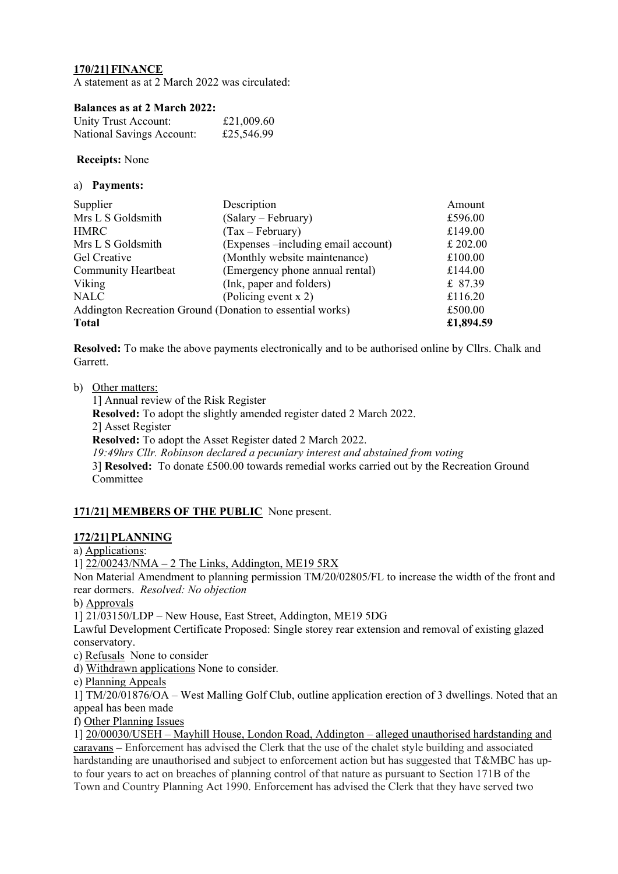### **170/21] FINANCE**

A statement as at 2 March 2022 was circulated:

#### **Balances as at 2 March 2022:**

| Unity Trust Account:      | £21,009.60 |
|---------------------------|------------|
| National Savings Account: | £25,546.99 |

**Receipts:** None

|  | a) | <b>Payments:</b> |
|--|----|------------------|
|--|----|------------------|

| Supplier                                                  | Description                         | Amount    |
|-----------------------------------------------------------|-------------------------------------|-----------|
| Mrs L S Goldsmith                                         | (Salary – February)                 | £596.00   |
| <b>HMRC</b>                                               | $(Tax - February)$                  | £149.00   |
| Mrs L S Goldsmith                                         | (Expenses -including email account) | £ 202.00  |
| Gel Creative                                              | (Monthly website maintenance)       | £100.00   |
| <b>Community Heartbeat</b>                                | (Emergency phone annual rental)     | £144.00   |
| Viking                                                    | (Ink, paper and folders)            | £ 87.39   |
| <b>NALC</b>                                               | (Policing event x 2)                | £116.20   |
| Addington Recreation Ground (Donation to essential works) |                                     | £500.00   |
| <b>Total</b>                                              |                                     | £1,894.59 |

**Resolved:** To make the above payments electronically and to be authorised online by Cllrs. Chalk and Garrett.

b) Other matters:

1] Annual review of the Risk Register **Resolved:** To adopt the slightly amended register dated 2 March 2022. 2] Asset Register **Resolved:** To adopt the Asset Register dated 2 March 2022. *19:49hrs Cllr. Robinson declared a pecuniary interest and abstained from voting* 3] **Resolved:** To donate £500.00 towards remedial works carried out by the Recreation Ground Committee

# **171/21] MEMBERS OF THE PUBLIC** None present.

#### **172/21] PLANNING**

a) Applications:

1] 22/00243/NMA – 2 The Links, Addington, ME19 5RX

Non Material Amendment to planning permission TM/20/02805/FL to increase the width of the front and rear dormers. *Resolved: No objection*

b) Approvals

1] 21/03150/LDP – New House, East Street, Addington, ME19 5DG

Lawful Development Certificate Proposed: Single storey rear extension and removal of existing glazed conservatory.

c) RefusalsNone to consider

d) Withdrawn applications None to consider*.*

e) Planning Appeals

1] TM/20/01876/OA – West Malling Golf Club, outline application erection of 3 dwellings. Noted that an appeal has been made

f) Other Planning Issues

1] 20/00030/USEH – Mayhill House, London Road, Addington – alleged unauthorised hardstanding and caravans – Enforcement has advised the Clerk that the use of the chalet style building and associated hardstanding are unauthorised and subject to enforcement action but has suggested that T&MBC has upto four years to act on breaches of planning control of that nature as pursuant to Section 171B of the Town and Country Planning Act 1990. Enforcement has advised the Clerk that they have served two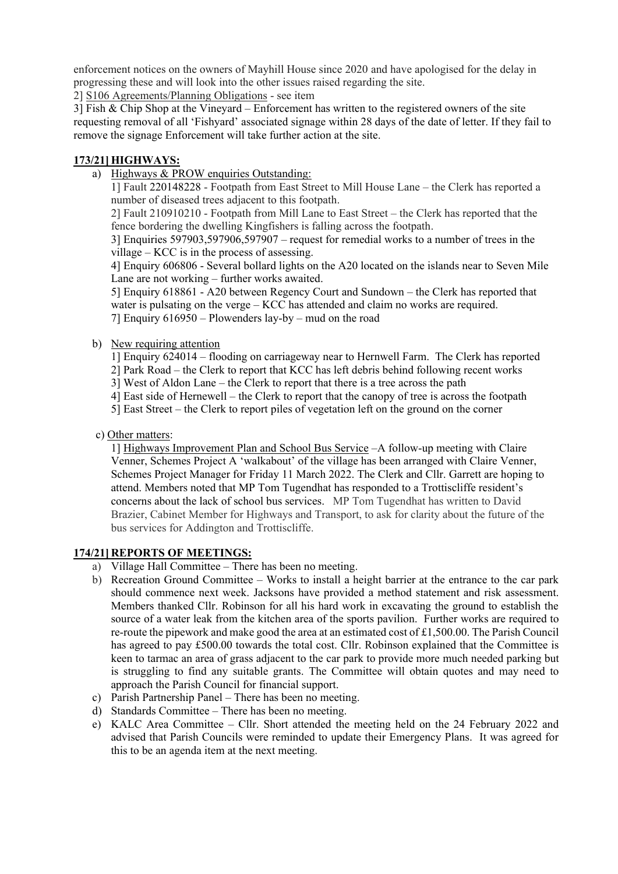enforcement notices on the owners of Mayhill House since 2020 and have apologised for the delay in progressing these and will look into the other issues raised regarding the site.

2] S106 Agreements/Planning Obligations - see item

3] Fish & Chip Shop at the Vineyard – Enforcement has written to the registered owners of the site requesting removal of all 'Fishyard' associated signage within 28 days of the date of letter. If they fail to remove the signage Enforcement will take further action at the site.

### **173/21] HIGHWAYS:**

a) Highways & PROW enquiries Outstanding:

1] Fault 220148228 - Footpath from East Street to Mill House Lane – the Clerk has reported a number of diseased trees adjacent to this footpath.

2] Fault 210910210 - Footpath from Mill Lane to East Street – the Clerk has reported that the fence bordering the dwelling Kingfishers is falling across the footpath.

3] Enquiries 597903,597906,597907 – request for remedial works to a number of trees in the village – KCC is in the process of assessing.

4] Enquiry 606806 - Several bollard lights on the A20 located on the islands near to Seven Mile Lane are not working – further works awaited.

5] Enquiry 618861 - A20 between Regency Court and Sundown – the Clerk has reported that water is pulsating on the verge – KCC has attended and claim no works are required. 7] Enquiry 616950 – Plowenders lay-by – mud on the road

b) New requiring attention

1] Enquiry 624014 – flooding on carriageway near to Hernwell Farm. The Clerk has reported

2] Park Road – the Clerk to report that KCC has left debris behind following recent works

3] West of Aldon Lane – the Clerk to report that there is a tree across the path

4] East side of Hernewell – the Clerk to report that the canopy of tree is across the footpath

5] East Street – the Clerk to report piles of vegetation left on the ground on the corner

c) Other matters:

1] Highways Improvement Plan and School Bus Service –A follow-up meeting with Claire Venner, Schemes Project A 'walkabout' of the village has been arranged with Claire Venner, Schemes Project Manager for Friday 11 March 2022. The Clerk and Cllr. Garrett are hoping to attend. Members noted that MP Tom Tugendhat has responded to a Trottiscliffe resident's concerns about the lack of school bus services. MP Tom Tugendhat has written to David Brazier, Cabinet Member for Highways and Transport, to ask for clarity about the future of the bus services for Addington and Trottiscliffe.

# **174/21] REPORTS OF MEETINGS:**

- a) Village Hall Committee There has been no meeting.
- b) Recreation Ground Committee Works to install a height barrier at the entrance to the car park should commence next week. Jacksons have provided a method statement and risk assessment. Members thanked Cllr. Robinson for all his hard work in excavating the ground to establish the source of a water leak from the kitchen area of the sports pavilion. Further works are required to re-route the pipework and make good the area at an estimated cost of £1,500.00. The Parish Council has agreed to pay £500.00 towards the total cost. Cllr. Robinson explained that the Committee is keen to tarmac an area of grass adjacent to the car park to provide more much needed parking but is struggling to find any suitable grants. The Committee will obtain quotes and may need to approach the Parish Council for financial support.
- c) Parish Partnership Panel There has been no meeting.
- d) Standards Committee There has been no meeting.
- e) KALC Area Committee Cllr. Short attended the meeting held on the 24 February 2022 and advised that Parish Councils were reminded to update their Emergency Plans. It was agreed for this to be an agenda item at the next meeting.